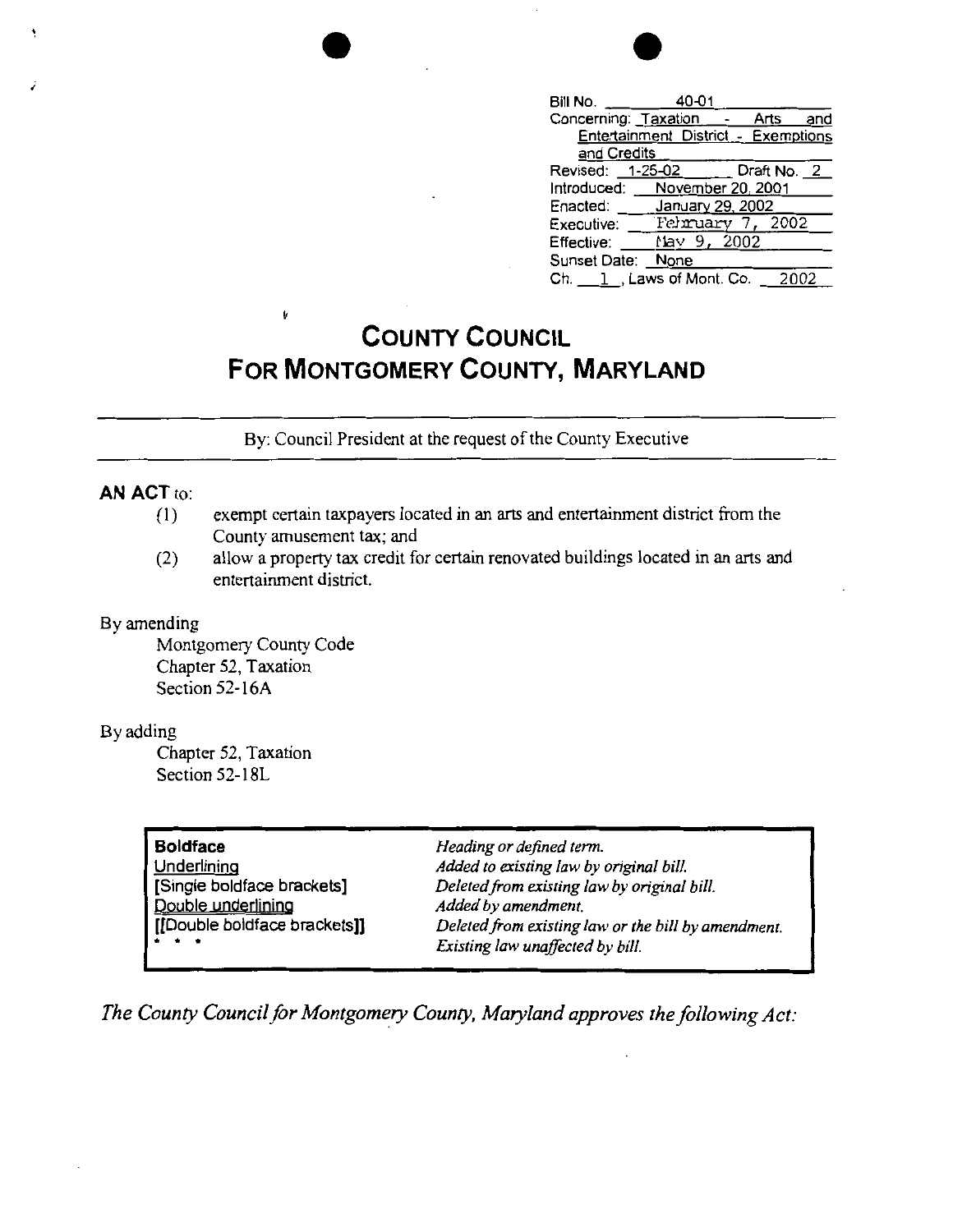| Bill No.             | 40-01                  |              |     |
|----------------------|------------------------|--------------|-----|
| Concerning: Taxation |                        | Arts         | and |
|                      | Entertainment District | - Exemptions |     |
| and Credits          |                        |              |     |
| Revised:             | 1-25-02                | Draft No. 2  |     |
| Introduced:          | November 20, 2001      |              |     |
| Enacted:             | January 29, 2002       |              |     |
| Executive:           | Felmuary               | 2002         |     |
| Effective:           | $\text{Mav}$ 9. 2002   |              |     |
| Sunset Date: None    |                        |              |     |
| Ch. I                | 1 . Laws of Mont. Co.  | 2002         |     |

by amendment.

## **COUNTY COUNCIL FOR MONTGOMERY COUNTY, MARYLAND**

By: Council President at the request of the County Executive

## **AN ACT** to:

- (l) exempt certain taxpayers located in an arts and entertainment district from the County amusement tax; and
- (2) allow a property tax credit for certain renovated buildings located in an arts and entertainment district.

## By amending

Montgomery County Code Chapter 52, Taxation Section 52-16A

Í.

## By adding

Chapter 52, Taxation Section 52-18L

| Heading or defined term.                    |  |  |
|---------------------------------------------|--|--|
| Added to existing law by original bill.     |  |  |
| Deleted from existing law by original bill. |  |  |
| Added by amendment.                         |  |  |
| Deleted from existing law or the bill by an |  |  |
| Existing law unaffected by bill.            |  |  |
|                                             |  |  |

*The County Council for Montgomery County, Maryland approves the following Act:*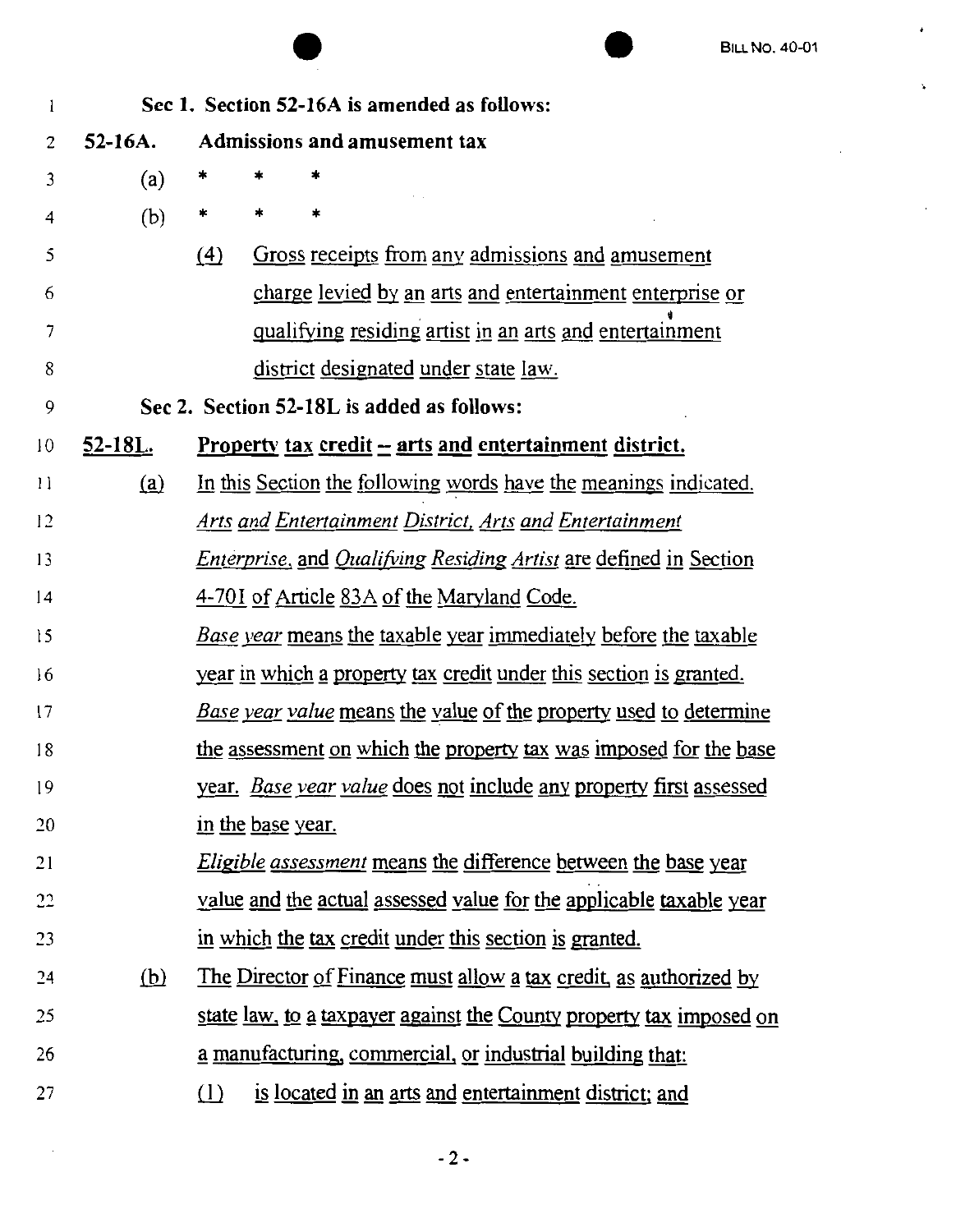$\pmb{\cdot}$ 

 $\ddot{\phantom{0}}$ 

|                                                   |                                                    | <b>BILL NO. 40-01</b>                                                            |  |  |  |  |  |
|---------------------------------------------------|----------------------------------------------------|----------------------------------------------------------------------------------|--|--|--|--|--|
| Sec 1. Section 52-16A is amended as follows:<br>1 |                                                    |                                                                                  |  |  |  |  |  |
| 2                                                 | <b>Admissions and amusement tax</b><br>$52 - 16A.$ |                                                                                  |  |  |  |  |  |
| 3                                                 | (a)                                                | *                                                                                |  |  |  |  |  |
| 4                                                 | (b)                                                | *<br>*<br>*                                                                      |  |  |  |  |  |
| 5                                                 |                                                    | Gross receipts from any admissions and amusement<br>(4)                          |  |  |  |  |  |
| 6                                                 |                                                    | charge levied by an arts and entertainment enterprise or                         |  |  |  |  |  |
| 7                                                 |                                                    | qualifying residing artist in an arts and entertainment                          |  |  |  |  |  |
| 8                                                 |                                                    | district designated under state law.                                             |  |  |  |  |  |
| 9                                                 | Sec 2. Section 52-18L is added as follows:         |                                                                                  |  |  |  |  |  |
| 10                                                | <u>52-18L.</u>                                     | <u>Property tax credit – arts and entertainment district.</u>                    |  |  |  |  |  |
| $\mathbf{1}$                                      | (a)                                                | In this Section the following words have the meanings indicated.                 |  |  |  |  |  |
| 12                                                |                                                    | <b>Arts and Entertainment District, Arts and Entertainment</b>                   |  |  |  |  |  |
| 13                                                |                                                    | <i>Enterprise</i> , and <i>Qualifying Residing Artist</i> are defined in Section |  |  |  |  |  |
| 14                                                |                                                    | 4-701 of Article 83A of the Maryland Code.                                       |  |  |  |  |  |
| 15                                                |                                                    | Base year means the taxable year immediately before the taxable                  |  |  |  |  |  |
| 16                                                |                                                    | year in which a property tax credit under this section is granted.               |  |  |  |  |  |
| 17                                                |                                                    | Base year value means the value of the property used to determine                |  |  |  |  |  |
| 18                                                |                                                    | the assessment on which the property tax was imposed for the base                |  |  |  |  |  |
| 19                                                |                                                    | year. <i>Base year value</i> does not include any property first assessed        |  |  |  |  |  |
| 20                                                |                                                    | in the base year.                                                                |  |  |  |  |  |
| 21                                                |                                                    | <i>Eligible assessment</i> means the difference between the base year            |  |  |  |  |  |
| 22                                                |                                                    | value and the actual assessed value for the applicable taxable year              |  |  |  |  |  |
| 23                                                |                                                    | in which the tax credit under this section is granted.                           |  |  |  |  |  |
| 24                                                | (b)                                                | The Director of Finance must allow a tax credit, as authorized by                |  |  |  |  |  |
| 25                                                |                                                    | state law, to a taxpayer against the County property tax imposed on              |  |  |  |  |  |
| 26                                                |                                                    | a manufacturing, commercial, or industrial building that:                        |  |  |  |  |  |
| 27                                                |                                                    | is located in an arts and entertainment district; and<br>(1)                     |  |  |  |  |  |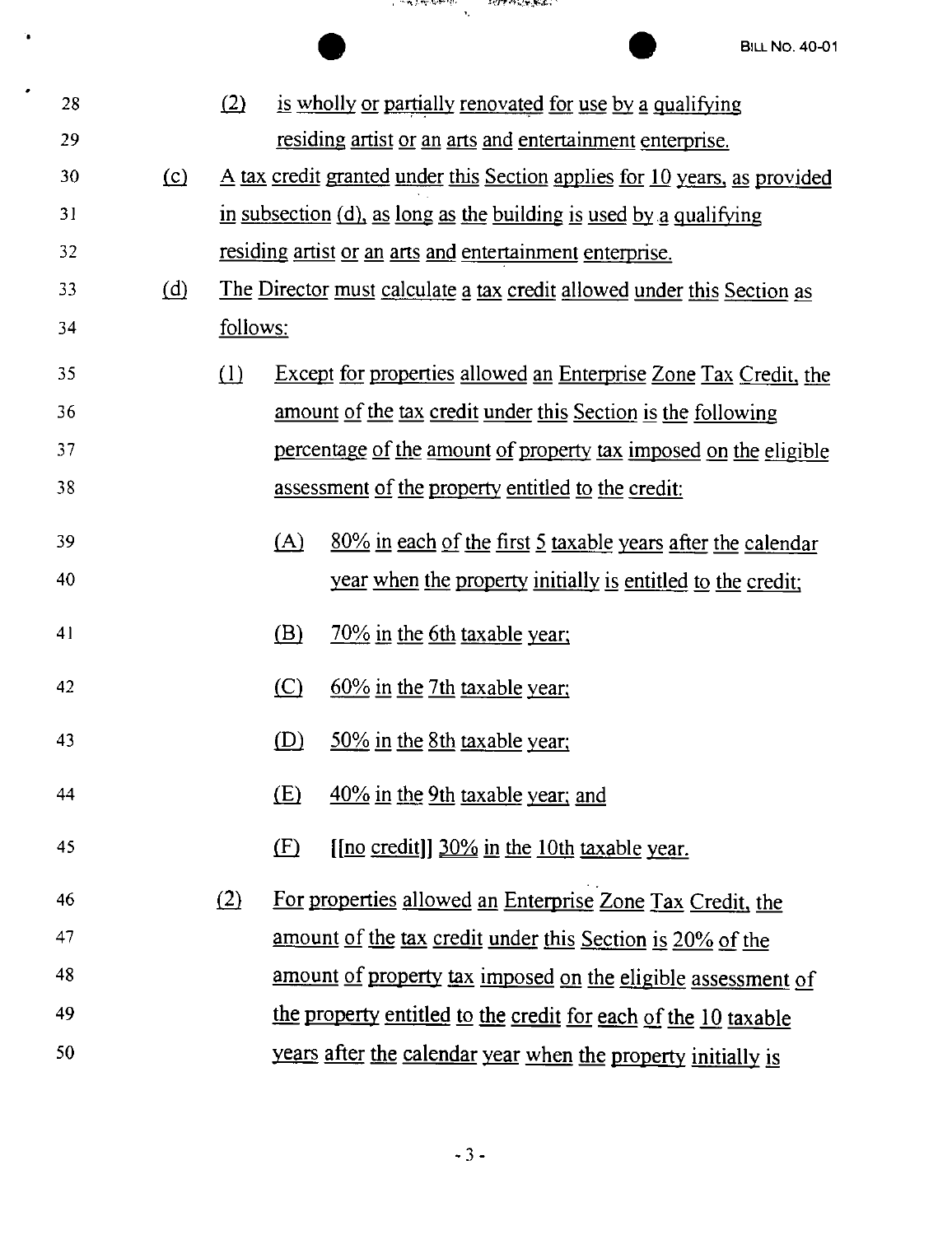'n.

|    |         |                                                                        |     | ারাজ সময় <b>হ</b> র্মন<br>وتقدمهم بالفائل المعرب                         |
|----|---------|------------------------------------------------------------------------|-----|---------------------------------------------------------------------------|
|    |         |                                                                        |     | <b>BILL NO. 40-01</b>                                                     |
| 28 |         | (2)                                                                    |     | is wholly or partially renovated for use by a qualifying                  |
| 29 |         |                                                                        |     | residing artist or an arts and entertainment enterprise.                  |
| 30 | $\circ$ |                                                                        |     | A tax credit granted under this Section applies for 10 years, as provided |
| 31 |         | in subsection (d), as long as the building is used by a qualifying     |     |                                                                           |
| 32 |         | residing artist or an arts and entertainment enterprise.               |     |                                                                           |
| 33 | (d)     | The Director must calculate a tax credit allowed under this Section as |     |                                                                           |
| 34 |         | follows:                                                               |     |                                                                           |
| 35 |         | $\Box$                                                                 |     | <b>Except for properties allowed an Enterprise Zone Tax Credit, the</b>   |
| 36 |         |                                                                        |     | amount of the tax credit under this Section is the following              |
| 37 |         |                                                                        |     | percentage of the amount of property tax imposed on the eligible          |
| 38 |         |                                                                        |     | assessment of the property entitled to the credit:                        |
| 39 |         |                                                                        | (A) | $80\%$ in each of the first 5 taxable years after the calendar            |
| 40 |         |                                                                        |     | year when the property initially is entitled to the credit;               |
| 41 |         |                                                                        | (B) | 70% in the 6th taxable year;                                              |
| 42 |         |                                                                        | (C) | $60\%$ in the 7th taxable year;                                           |
| 43 |         |                                                                        | (D) | 50% in the 8th taxable year;                                              |
| 44 |         |                                                                        | (E) | 40% in the 9th taxable year; and                                          |
| 45 |         |                                                                        | (F) | [[no credit]] 30% in the 10th taxable year.                               |
| 46 |         | (2)                                                                    |     | For properties allowed an Enterprise Zone Tax Credit, the                 |
| 47 |         |                                                                        |     | amount of the tax credit under this Section is 20% of the                 |
| 48 |         |                                                                        |     | amount of property tax imposed on the eligible assessment of              |
| 49 |         |                                                                        |     | the property entitled to the credit for each of the 10 taxable            |
| 50 |         |                                                                        |     | years after the calendar year when the property initially is              |